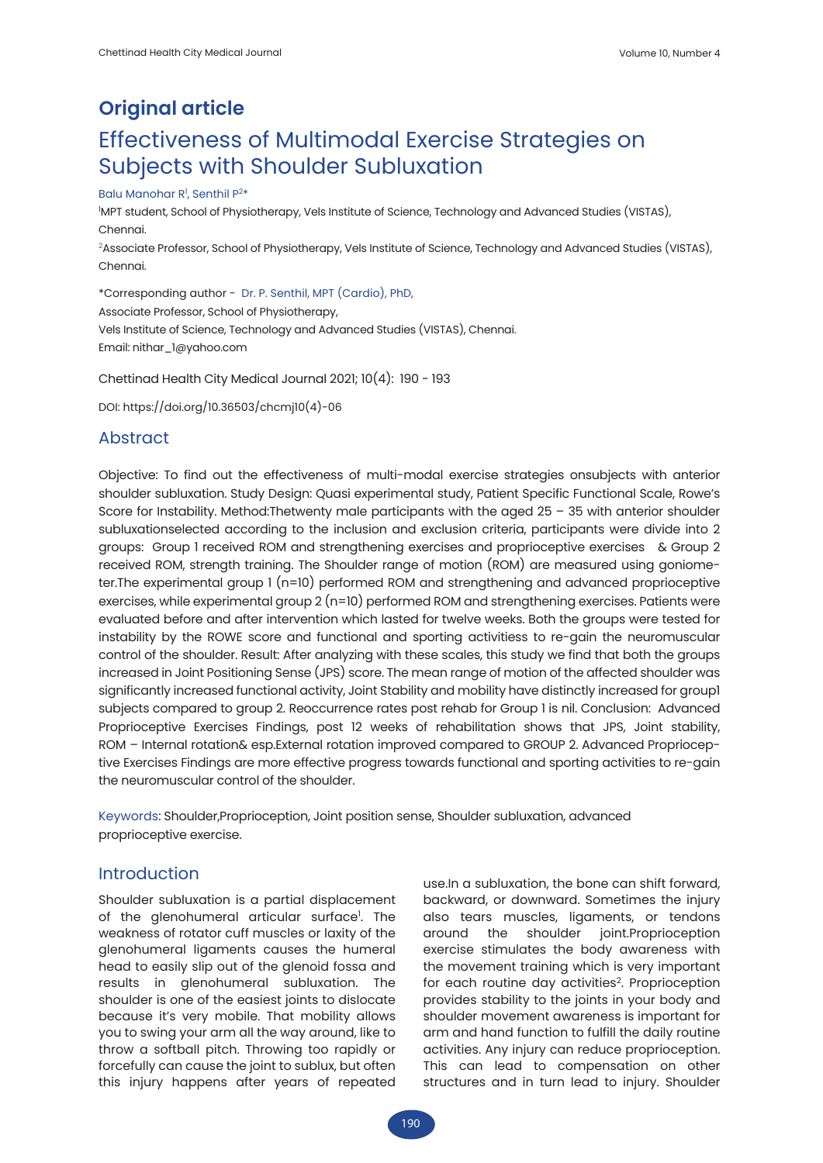# **Original article** Effectiveness of Multimodal Exercise Strategies on Subjects with Shoulder Subluxation

### Balu Manohar R<sup>i</sup>, Senthil P<sup>2\*</sup>

1 MPT student, School of Physiotherapy, Vels Institute of Science, Technology and Advanced Studies (VISTAS), Chennai. 2Associate Professor, School of Physiotherapy, Vels Institute of Science, Technology and Advanced Studies (VISTAS),

\*Corresponding author - Dr. P. Senthil, MPT (Cardio), PhD, Associate Professor, School of Physiotherapy, Vels Institute of Science, Technology and Advanced Studies (VISTAS), Chennai.

Email: nithar\_1@yahoo.com

Chettinad Health City Medical Journal 2021; 10(4): 190 - 193

DOI: https://doi.org/10.36503/chcmj10(4)-06

# Abstract

Chennai.

Objective: To find out the effectiveness of multi-modal exercise strategies onsubjects with anterior shoulder subluxation. Study Design: Quasi experimental study, Patient Specific Functional Scale, Rowe's Score for Instability. Method: Thetwenty male participants with the aged  $25 - 35$  with anterior shoulder subluxationselected according to the inclusion and exclusion criteria, participants were divide into 2 groups: Group 1 received ROM and strengthening exercises and proprioceptive exercises & Group 2 received ROM, strength training. The Shoulder range of motion (ROM) are measured using goniometer.The experimental group 1 (n=10) performed ROM and strengthening and advanced proprioceptive exercises, while experimental group 2 (n=10) performed ROM and strengthening exercises. Patients were evaluated before and after intervention which lasted for twelve weeks. Both the groups were tested for instability by the ROWE score and functional and sporting activitiess to re-gain the neuromuscular control of the shoulder. Result: After analyzing with these scales, this study we find that both the groups increased in Joint Positioning Sense (JPS) score. The mean range of motion of the affected shoulder was significantly increased functional activity, Joint Stability and mobility have distinctly increased for group1 subjects compared to group 2. Reoccurrence rates post rehab for Group 1 is nil. Conclusion: Advanced Proprioceptive Exercises Findings, post 12 weeks of rehabilitation shows that JPS, Joint stability, ROM – Internal rotation& esp.External rotation improved compared to GROUP 2. Advanced Proprioceptive Exercises Findings are more effective progress towards functional and sporting activities to re-gain the neuromuscular control of the shoulder.

Keywords: Shoulder,Proprioception, Joint position sense, Shoulder subluxation, advanced proprioceptive exercise.

### **Introduction**

Shoulder subluxation is a partial displacement of the glenohumeral articular surface<sup>1</sup>. The weakness of rotator cuff muscles or laxity of the glenohumeral ligaments causes the humeral head to easily slip out of the glenoid fossa and results in glenohumeral subluxation. The shoulder is one of the easiest joints to dislocate because it's very mobile. That mobility allows you to swing your arm all the way around, like to throw a softball pitch. Throwing too rapidly or forcefully can cause the joint to sublux, but often this injury happens after years of repeated

use.In a subluxation, the bone can shift forward, backward, or downward. Sometimes the injury also tears muscles, ligaments, or tendons around the shoulder joint.Proprioception exercise stimulates the body awareness with the movement training which is very important for each routine day activities<sup>2</sup>. Proprioception provides stability to the joints in your body and shoulder movement awareness is important for arm and hand function to fulfill the daily routine activities. Any injury can reduce proprioception. This can lead to compensation on other structures and in turn lead to injury. Shoulder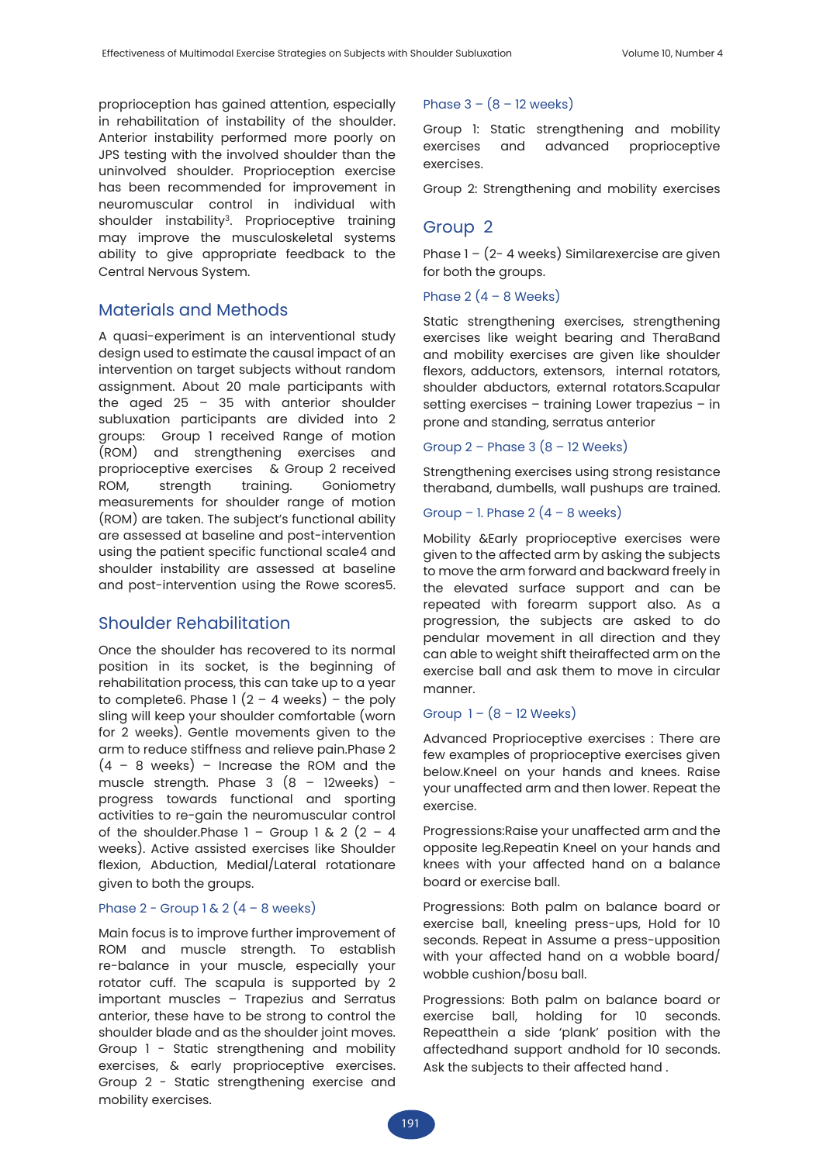proprioception has gained attention, especially in rehabilitation of instability of the shoulder. Anterior instability performed more poorly on JPS testing with the involved shoulder than the uninvolved shoulder. Proprioception exercise has been recommended for improvement in neuromuscular control in individual with shoulder instability<sup>3</sup>. Proprioceptive training may improve the musculoskeletal systems ability to give appropriate feedback to the Central Nervous System.

# Materials and Methods

A quasi-experiment is an interventional study design used to estimate the causal impact of an intervention on target subjects without random assignment. About 20 male participants with the aged  $25 - 35$  with anterior shoulder subluxation participants are divided into 2 groups: Group 1 received Range of motion (ROM) and strengthening exercises and proprioceptive exercises & Group 2 received ROM, strength training. Goniometry measurements for shoulder range of motion (ROM) are taken. The subject's functional ability are assessed at baseline and post-intervention using the patient specific functional scale4 and shoulder instability are assessed at baseline and post-intervention using the Rowe scores5.

# Shoulder Rehabilitation

Once the shoulder has recovered to its normal position in its socket, is the beginning of rehabilitation process, this can take up to a year to complete6. Phase  $1(2 - 4$  weeks) – the poly sling will keep your shoulder comfortable (worn for 2 weeks). Gentle movements given to the arm to reduce stiffness and relieve pain.Phase 2  $(4 - 8$  weeks) – Increase the ROM and the muscle strength. Phase  $3(8 - 12$ weeks) progress towards functional and sporting activities to re-gain the neuromuscular control of the shoulder. Phase  $1 -$  Group 1 & 2  $(2 - 4)$ weeks). Active assisted exercises like Shoulder flexion, Abduction, Medial/Lateral rotationare given to both the groups.

### Phase  $2$  - Group 1 &  $2(4 - 8$  weeks)

Main focus is to improve further improvement of ROM and muscle strength. To establish re-balance in your muscle, especially your rotator cuff. The scapula is supported by 2 important muscles – Trapezius and Serratus anterior, these have to be strong to control the shoulder blade and as the shoulder joint moves. Group 1 - Static strengthening and mobility exercises, & early proprioceptive exercises. Group 2 - Static strengthening exercise and mobility exercises.

### Phase  $3 - (8 - 12$  weeks)

Group 1: Static strengthening and mobility exercises and advanced proprioceptive exercises.

Group 2: Strengthening and mobility exercises

# Group 2

Phase 1 – (2- 4 weeks) Similarexercise are given for both the groups.

### Phase  $2(4 - 8$  Weeks)

Static strengthening exercises, strengthening exercises like weight bearing and TheraBand and mobility exercises are given like shoulder flexors, adductors, extensors, internal rotators, shoulder abductors, external rotators.Scapular setting exercises – training Lower trapezius – in prone and standing, serratus anterior

### Group  $2$  – Phase  $3(8 - 12$  Weeks)

Strengthening exercises using strong resistance theraband, dumbells, wall pushups are trained.

### Group – 1. Phase  $2(4 - 8$  weeks)

Mobility &Early proprioceptive exercises were given to the affected arm by asking the subjects to move the arm forward and backward freely in the elevated surface support and can be repeated with forearm support also. As a progression, the subjects are asked to do pendular movement in all direction and they can able to weight shift theiraffected arm on the exercise ball and ask them to move in circular manner.

### Group  $1 - (8 - 12$  Weeks)

Advanced Proprioceptive exercises : There are few examples of proprioceptive exercises given below.Kneel on your hands and knees. Raise your unaffected arm and then lower. Repeat the exercise.

Progressions:Raise your unaffected arm and the opposite leg.Repeatin Kneel on your hands and knees with your affected hand on a balance board or exercise ball.

Progressions: Both palm on balance board or exercise ball, kneeling press-ups, Hold for 10 seconds. Repeat in Assume a press-upposition with your affected hand on a wobble board/ wobble cushion/bosu ball.

Progressions: Both palm on balance board or exercise ball, holding for 10 seconds. Repeatthein a side 'plank' position with the affectedhand support andhold for 10 seconds. Ask the subjects to their affected hand .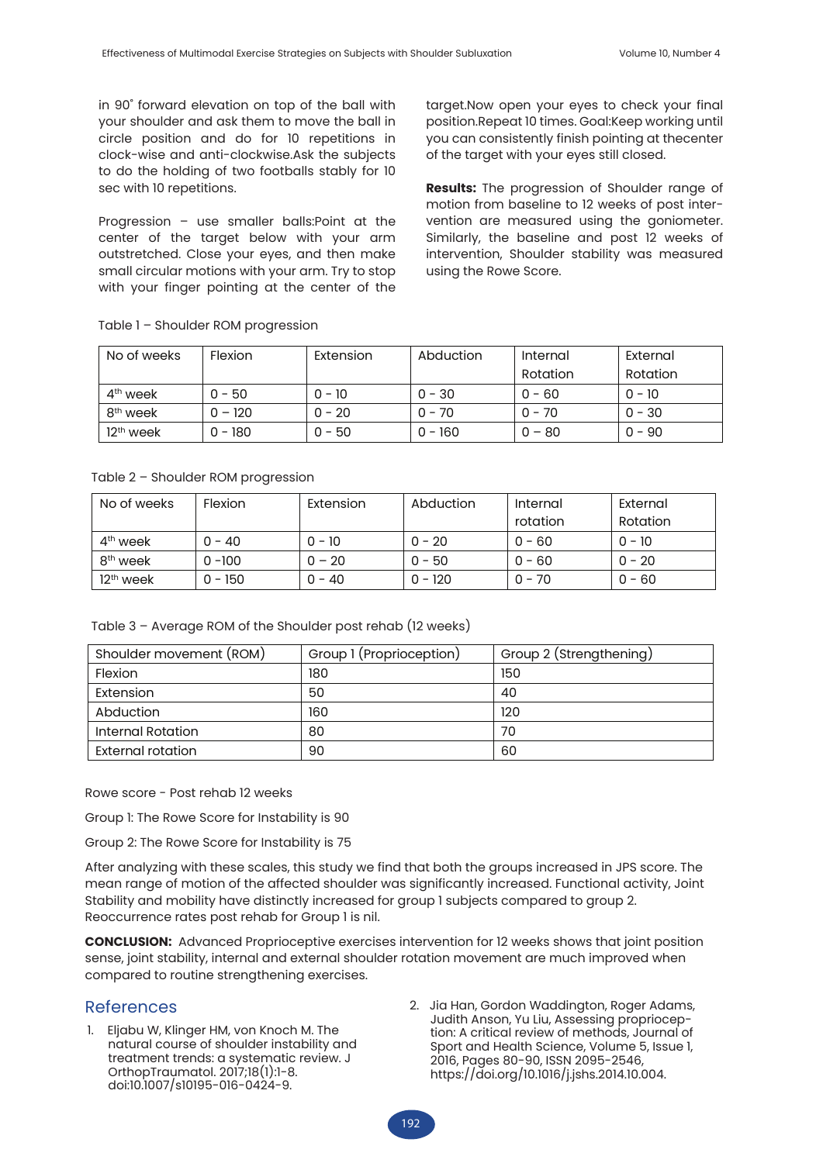in 90˚ forward elevation on top of the ball with your shoulder and ask them to move the ball in circle position and do for 10 repetitions in clock-wise and anti-clockwise.Ask the subjects to do the holding of two footballs stably for 10 sec with 10 repetitions.

Progression – use smaller balls:Point at the center of the target below with your arm outstretched. Close your eyes, and then make small circular motions with your arm. Try to stop with your finger pointing at the center of the target.Now open your eyes to check your final position.Repeat 10 times. Goal:Keep working until you can consistently finish pointing at thecenter of the target with your eyes still closed.

**Results:** The progression of Shoulder range of motion from baseline to 12 weeks of post intervention are measured using the goniometer. Similarly, the baseline and post 12 weeks of intervention, Shoulder stability was measured using the Rowe Score.

| No of weeks          | <b>Flexion</b> | Extension | Abduction | Internal | External |
|----------------------|----------------|-----------|-----------|----------|----------|
|                      |                |           |           | Rotation | Rotation |
| $4th$ week           | $0 - 50$       | $0 - 10$  | $0 - 30$  | $0 - 60$ | $0 - 10$ |
| 8 <sup>th</sup> week | $0 - 120$      | $0 - 20$  | $0 - 70$  | $0 - 70$ | $0 - 30$ |
| $12th$ week          | $0 - 180$      | $0 - 50$  | $0 - 160$ | $0 - 80$ | $0 - 90$ |

#### Table 1 – Shoulder ROM progression

#### Table 2 – Shoulder ROM progression

| No of weeks          | <b>Flexion</b> | Extension | Abduction | Internal | External |
|----------------------|----------------|-----------|-----------|----------|----------|
|                      |                |           |           | rotation | Rotation |
| 4 <sup>th</sup> week | $0 - 40$       | $0 - 10$  | $0 - 20$  | $0 - 60$ | $0 - 10$ |
| 8 <sup>th</sup> week | $0 - 100$      | $0 - 20$  | $0 - 50$  | $0 - 60$ | $0 - 20$ |
| $12th$ week          | $0 - 150$      | $0 - 40$  | $0 - 120$ | $0 - 70$ | $0 - 60$ |

| Table 3 - Average ROM of the Shoulder post rehab (12 weeks) |  |
|-------------------------------------------------------------|--|
|-------------------------------------------------------------|--|

| Shoulder movement (ROM)  | Group 1 (Proprioception) | Group 2 (Strengthening) |  |
|--------------------------|--------------------------|-------------------------|--|
| Flexion                  | 180                      | 150                     |  |
| Extension                | 50                       | 40                      |  |
| Abduction                | 160                      | 120                     |  |
| <b>Internal Rotation</b> | 80                       | 70                      |  |
| External rotation        | 90                       | 60                      |  |

Rowe score - Post rehab 12 weeks

Group 1: The Rowe Score for Instability is 90

Group 2: The Rowe Score for Instability is 75

After analyzing with these scales, this study we find that both the groups increased in JPS score. The mean range of motion of the affected shoulder was significantly increased. Functional activity, Joint Stability and mobility have distinctly increased for group 1 subjects compared to group 2. Reoccurrence rates post rehab for Group 1 is nil.

**CONCLUSION:** Advanced Proprioceptive exercises intervention for 12 weeks shows that joint position sense, joint stability, internal and external shoulder rotation movement are much improved when compared to routine strengthening exercises.

### References

- 1. Eljabu W, Klinger HM, von Knoch M. The natural course of shoulder instability and treatment trends: a systematic review. J OrthopTraumatol. 2017;18(1):1-8. doi:10.1007/s10195-016-0424-9.
- 2. Jia Han, Gordon Waddington, Roger Adams, Judith Anson, Yu Liu, Assessing proprioception: A critical review of methods, Journal of Sport and Health Science, Volume 5, Issue 1, 2016, Pages 80-90, ISSN 2095-2546, https://doi.org/10.1016/j.jshs.2014.10.004.